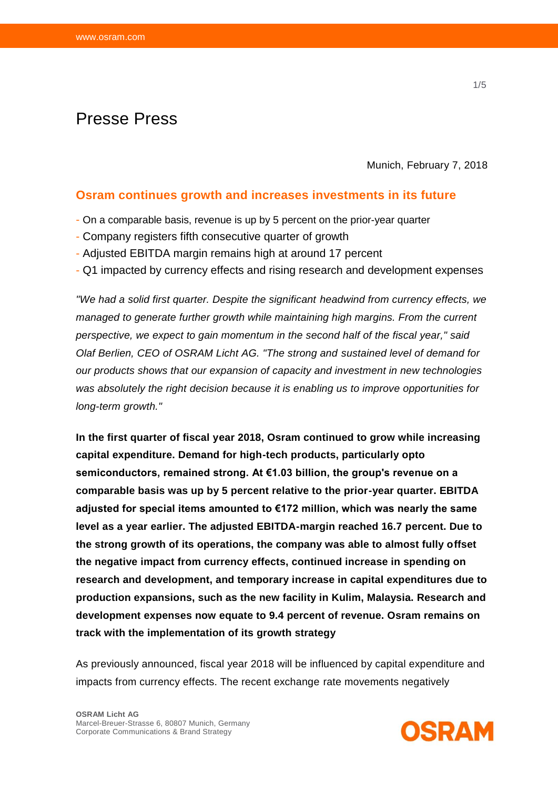# Presse Press

Munich, February 7, 2018

### **Osram continues growth and increases investments in its future**

- On a comparable basis, revenue is up by 5 percent on the prior-year quarter
- Company registers fifth consecutive quarter of growth
- Adjusted EBITDA margin remains high at around 17 percent
- Q1 impacted by currency effects and rising research and development expenses

*"We had a solid first quarter. Despite the significant headwind from currency effects, we managed to generate further growth while maintaining high margins. From the current perspective, we expect to gain momentum in the second half of the fiscal year," said Olaf Berlien, CEO of OSRAM Licht AG. "The strong and sustained level of demand for our products shows that our expansion of capacity and investment in new technologies was absolutely the right decision because it is enabling us to improve opportunities for long-term growth."*

**In the first quarter of fiscal year 2018, Osram continued to grow while increasing capital expenditure. Demand for high-tech products, particularly opto semiconductors, remained strong. At €1.03 billion, the group's revenue on a comparable basis was up by 5 percent relative to the prior-year quarter. EBITDA adjusted for special items amounted to €172 million, which was nearly the same level as a year earlier. The adjusted EBITDA-margin reached 16.7 percent. Due to the strong growth of its operations, the company was able to almost fully offset the negative impact from currency effects, continued increase in spending on research and development, and temporary increase in capital expenditures due to production expansions, such as the new facility in Kulim, Malaysia. Research and development expenses now equate to 9.4 percent of revenue. Osram remains on track with the implementation of its growth strategy**

As previously announced, fiscal year 2018 will be influenced by capital expenditure and impacts from currency effects. The recent exchange rate movements negatively

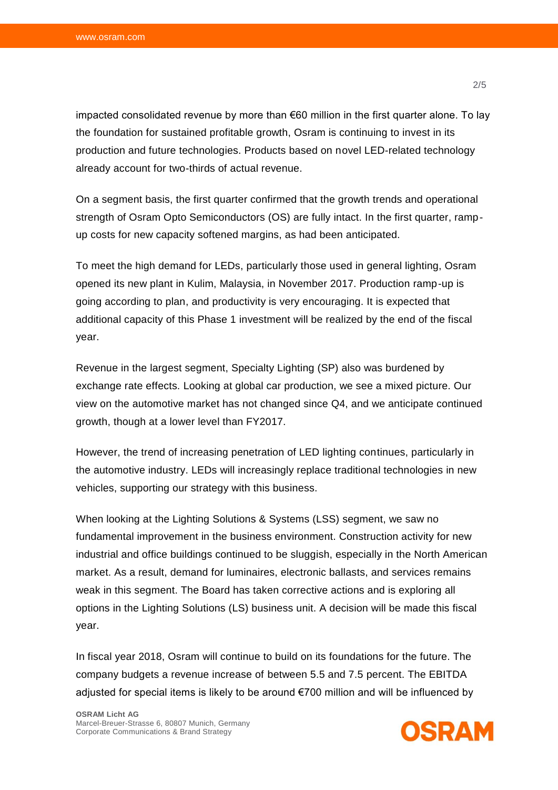impacted consolidated revenue by more than €60 million in the first quarter alone. To lay the foundation for sustained profitable growth, Osram is continuing to invest in its production and future technologies. Products based on novel LED-related technology already account for two-thirds of actual revenue.

On a segment basis, the first quarter confirmed that the growth trends and operational strength of Osram Opto Semiconductors (OS) are fully intact. In the first quarter, rampup costs for new capacity softened margins, as had been anticipated.

To meet the high demand for LEDs, particularly those used in general lighting, Osram opened its new plant in Kulim, Malaysia, in November 2017. Production ramp-up is going according to plan, and productivity is very encouraging. It is expected that additional capacity of this Phase 1 investment will be realized by the end of the fiscal year.

Revenue in the largest segment, Specialty Lighting (SP) also was burdened by exchange rate effects. Looking at global car production, we see a mixed picture. Our view on the automotive market has not changed since Q4, and we anticipate continued growth, though at a lower level than FY2017.

However, the trend of increasing penetration of LED lighting continues, particularly in the automotive industry. LEDs will increasingly replace traditional technologies in new vehicles, supporting our strategy with this business.

When looking at the Lighting Solutions & Systems (LSS) segment, we saw no fundamental improvement in the business environment. Construction activity for new industrial and office buildings continued to be sluggish, especially in the North American market. As a result, demand for luminaires, electronic ballasts, and services remains weak in this segment. The Board has taken corrective actions and is exploring all options in the Lighting Solutions (LS) business unit. A decision will be made this fiscal year.

In fiscal year 2018, Osram will continue to build on its foundations for the future. The company budgets a revenue increase of between 5.5 and 7.5 percent. The EBITDA adjusted for special items is likely to be around €700 million and will be influenced by

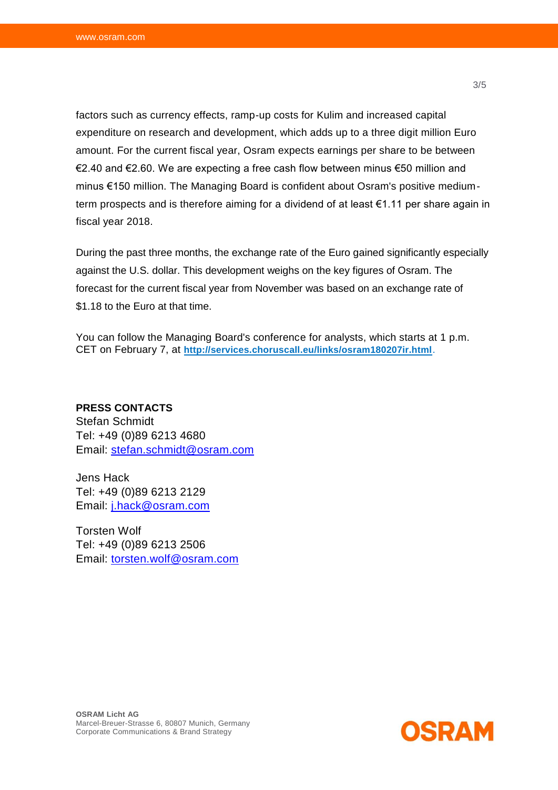factors such as currency effects, ramp-up costs for Kulim and increased capital expenditure on research and development, which adds up to a three digit million Euro amount. For the current fiscal year, Osram expects earnings per share to be between €2.40 and €2.60. We are expecting a free cash flow between minus €50 million and minus €150 million. The Managing Board is confident about Osram's positive mediumterm prospects and is therefore aiming for a dividend of at least €1.11 per share again in fiscal year 2018.

During the past three months, the exchange rate of the Euro gained significantly especially against the U.S. dollar. This development weighs on the key figures of Osram. The forecast for the current fiscal year from November was based on an exchange rate of \$1.18 to the Euro at that time.

You can follow the Managing Board's conference for analysts, which starts at 1 p.m. CET on February 7, at **<http://services.choruscall.eu/links/osram180207ir.html>**.

**PRESS CONTACTS**  Stefan Schmidt Tel: +49 (0)89 6213 4680 Email: [stefan.schmidt@osram.com](mailto:stefan.schmidt@osram.com)

Jens Hack Tel: +49 (0)89 6213 2129 Email: [j.hack@osram.com](mailto:j.hack@osram.com)

Torsten Wolf Tel: +49 (0)89 6213 2506 Email: [torsten.wolf@osram.com](mailto:torsten.wolf@osram.com)

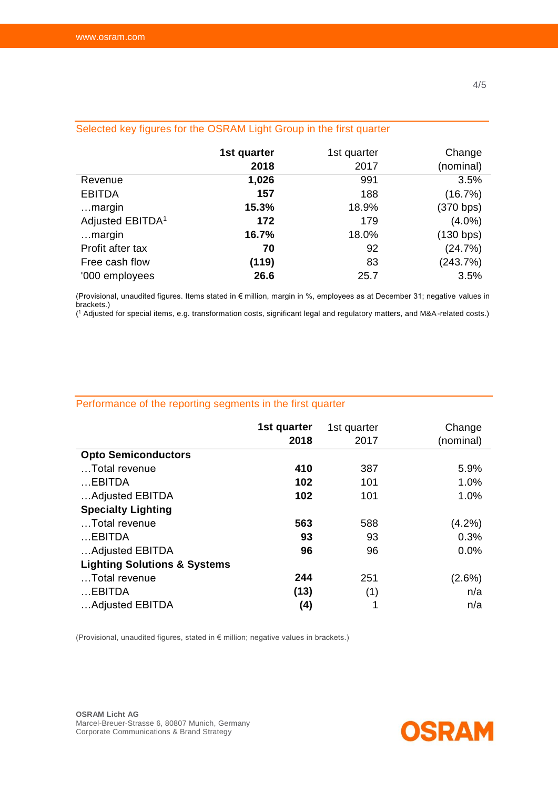|                              | 1st quarter | 1st quarter | Change    |
|------------------------------|-------------|-------------|-----------|
|                              | 2018        | 2017        | (nominal) |
| Revenue                      | 1,026       | 991         | 3.5%      |
| <b>EBITDA</b>                | 157         | 188         | (16.7%)   |
| margin                       | 15.3%       | 18.9%       | (370 bps) |
| Adjusted EBITDA <sup>1</sup> | 172         | 179         | $(4.0\%)$ |
| margin                       | 16.7%       | 18.0%       | (130 bps) |
| Profit after tax             | 70          | 92          | (24.7%)   |
| Free cash flow               | (119)       | 83          | (243.7%)  |
| '000 employees               | 26.6        | 25.7        | 3.5%      |

# Selected key figures for the OSRAM Light Group in the first quarter

(Provisional, unaudited figures. Items stated in € million, margin in %, employees as at December 31; negative values in brackets.)

( <sup>1</sup> Adjusted for special items, e.g. transformation costs, significant legal and regulatory matters, and M&A-related costs.)

# Performance of the reporting segments in the first quarter

|                                         | 1st quarter<br>2018 | 1st quarter<br>2017 | Change<br>(nominal) |
|-----------------------------------------|---------------------|---------------------|---------------------|
| <b>Opto Semiconductors</b>              |                     |                     |                     |
| Total revenue                           | 410                 | 387                 | 5.9%                |
| $$ EBITDA                               | 102                 | 101                 | 1.0%                |
| Adjusted EBITDA                         | 102                 | 101                 | 1.0%                |
| <b>Specialty Lighting</b>               |                     |                     |                     |
| Total revenue                           | 563                 | 588                 | (4.2%)              |
| $$ EBITDA                               | 93                  | 93                  | 0.3%                |
| Adjusted EBITDA                         | 96                  | 96                  | 0.0%                |
| <b>Lighting Solutions &amp; Systems</b> |                     |                     |                     |
| Total revenue                           | 244                 | 251                 | $(2.6\%)$           |
| EBITDA                                  | (13)                | (1)                 | n/a                 |
| Adjusted EBITDA                         | (4)                 | 1                   | n/a                 |

(Provisional, unaudited figures, stated in € million; negative values in brackets.)